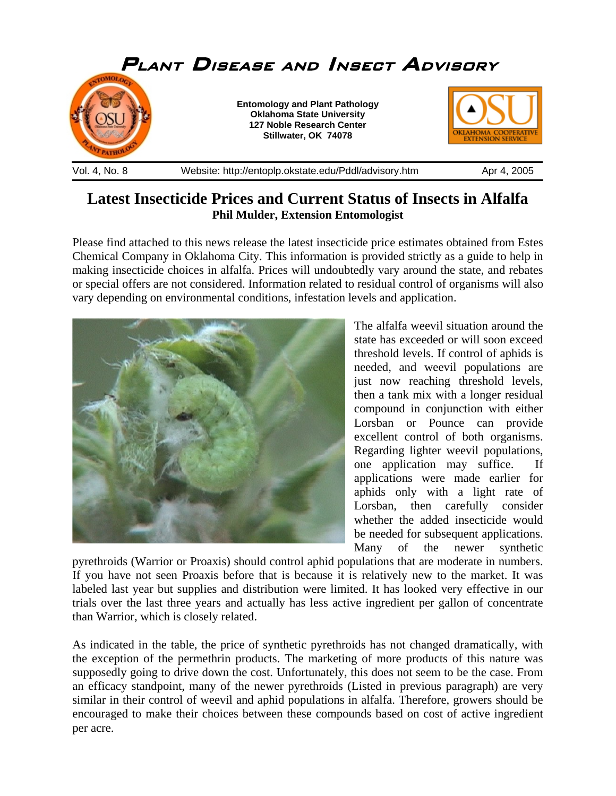

## **Latest Insecticide Prices and Current Status of Insects in Alfalfa Phil Mulder, Extension Entomologist**

Please find attached to this news release the latest insecticide price estimates obtained from Estes Chemical Company in Oklahoma City. This information is provided strictly as a guide to help in making insecticide choices in alfalfa. Prices will undoubtedly vary around the state, and rebates or special offers are not considered. Information related to residual control of organisms will also vary depending on environmental conditions, infestation levels and application.



The alfalfa weevil situation around the state has exceeded or will soon exceed threshold levels. If control of aphids is needed, and weevil populations are just now reaching threshold levels, then a tank mix with a longer residual compound in conjunction with either Lorsban or Pounce can provide excellent control of both organisms. Regarding lighter weevil populations, one application may suffice. If applications were made earlier for aphids only with a light rate of Lorsban, then carefully consider whether the added insecticide would be needed for subsequent applications. Many of the newer synthetic

pyrethroids (Warrior or Proaxis) should control aphid populations that are moderate in numbers. If you have not seen Proaxis before that is because it is relatively new to the market. It was labeled last year but supplies and distribution were limited. It has looked very effective in our trials over the last three years and actually has less active ingredient per gallon of concentrate than Warrior, which is closely related.

As indicated in the table, the price of synthetic pyrethroids has not changed dramatically, with the exception of the permethrin products. The marketing of more products of this nature was supposedly going to drive down the cost. Unfortunately, this does not seem to be the case. From an efficacy standpoint, many of the newer pyrethroids (Listed in previous paragraph) are very similar in their control of weevil and aphid populations in alfalfa. Therefore, growers should be encouraged to make their choices between these compounds based on cost of active ingredient per acre.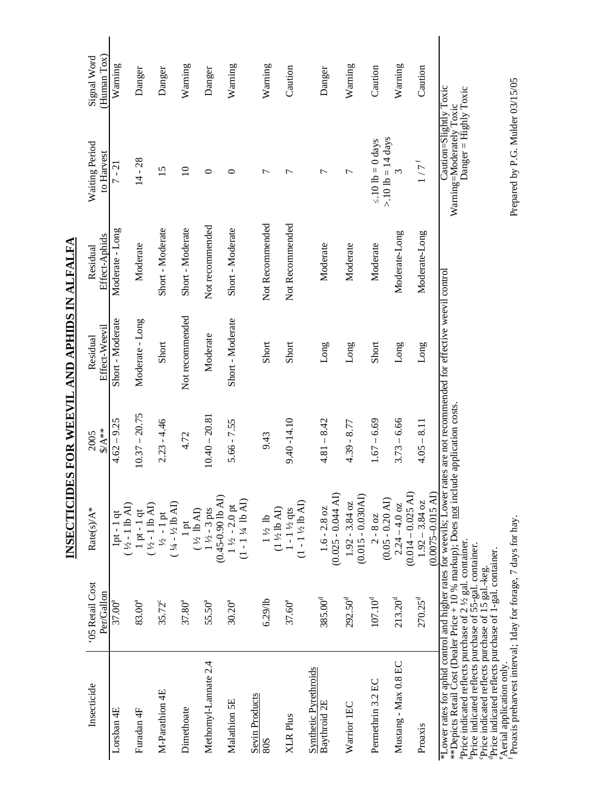| Insecticide                                                                                                                                                                                                                                                                                                                                                                                                                                                               | '05 Retail Cost<br>Per/Gallon | Rate(s)/A*                                                            | $A^{**}$<br>2005 | Effect-Weevil<br>Residual | Effect-Aphids<br>Residual | Waiting Period<br>to Harvest                                                | (Human Tox)<br>Signal Word |
|---------------------------------------------------------------------------------------------------------------------------------------------------------------------------------------------------------------------------------------------------------------------------------------------------------------------------------------------------------------------------------------------------------------------------------------------------------------------------|-------------------------------|-----------------------------------------------------------------------|------------------|---------------------------|---------------------------|-----------------------------------------------------------------------------|----------------------------|
| Lorsban 4E                                                                                                                                                                                                                                                                                                                                                                                                                                                                | $37.00^{\rm a}$               | $1pt-1 qt$                                                            | $4.62 - 9.25$    | Short - Moderate          | Moderate - Long           | $7 - 21$                                                                    | Warning                    |
| Furadan 4F                                                                                                                                                                                                                                                                                                                                                                                                                                                                | $83.00^{\rm a}$               | $(1/2 - 1$ lb AI)<br>$(1/2 - 1$ lb AI)<br>$1 pt - 1 qt$               | $10.37 - 20.75$  | Moderate - Long           | Moderate                  | $14 - 28$                                                                   | Danger                     |
| M-Parathion 4E                                                                                                                                                                                                                                                                                                                                                                                                                                                            | 35.72°                        | $(1/4 - 1/2$ lb AI)<br>$\frac{1}{2}$ - 1 pt                           | $2.23 - 4.46$    | Short                     | Short - Moderate          | 15                                                                          | Danger                     |
| Dimethoate                                                                                                                                                                                                                                                                                                                                                                                                                                                                | $37.80^{\rm a}$               | $(\sqrt{15}$ AD<br>$1\,\mathrm{pt}$                                   | 4.72             | Not recommended           | Short - Moderate          | $\overline{10}$                                                             | Warning                    |
| Methomyl-Lannate 2.4                                                                                                                                                                                                                                                                                                                                                                                                                                                      | 55.50 <sup>a</sup>            | $(0.45-0.90$ lb AI)<br>$1\frac{1}{2} - 3$ pts                         | $10.40 - 20.81$  | Moderate                  | Not recommended           | 0                                                                           | Danger                     |
| Malathion 5E                                                                                                                                                                                                                                                                                                                                                                                                                                                              | $30.20^{a}$                   | $(1 - 1\frac{1}{4} \text{ lb } \text{Al})$<br>$1\frac{1}{2} - 2.0$ pt | $5.66 - 7.55$    | Short - Moderate          | Short - Moderate          | 0                                                                           | Warning                    |
| <b>Sevin Products</b><br>80S                                                                                                                                                                                                                                                                                                                                                                                                                                              | 6.29/lb                       | $1\frac{1}{2}$ lb                                                     | 9.43             | Short                     | Not Recommended           | Γ                                                                           | Warning                    |
| <b>XLR</b> Plus                                                                                                                                                                                                                                                                                                                                                                                                                                                           | $37.60^{a}$                   | $(1 - 1\frac{1}{2}$ lb AI)<br>$(1\frac{1}{2}$ lb AI)<br>$1 - 1$ ½ qts | $9.40 - 14.10$   | Short                     | Not Recommended           | 7                                                                           | Caution                    |
| Synthetic Pyrethroids<br>Baythroid 2E                                                                                                                                                                                                                                                                                                                                                                                                                                     | $385.00^{d}$                  | $(0.025 - 0.044$ AI)<br>$1.6 - 2.8$ oz                                | $4.81 - 8.42$    | Long                      | Moderate                  | $\overline{ }$                                                              | Danger                     |
| Warrior 1EC                                                                                                                                                                                                                                                                                                                                                                                                                                                               | $292.50^{d}$                  | $(0.015 - 0.030A)$<br>$1.92 - 3.84$ oz                                | $4.39 - 8.77$    | Long                      | Moderate                  | $\overline{ }$                                                              | Warning                    |
| Permethrin 3.2 EC                                                                                                                                                                                                                                                                                                                                                                                                                                                         | $107.10^{d}$                  | $(0.05 - 0.20 \text{ AD})$<br>$2 - 8 oz$                              | $1.67 - 6.69$    | Short                     | Moderate                  | $\leq$ .10 lb = 0 days                                                      | Caution                    |
| Mustang - Max 0.8 EC                                                                                                                                                                                                                                                                                                                                                                                                                                                      | $213.20^{d}$                  | $(0.014 - 0.025)$ AI<br>$2.24 - 4.0$ oz                               | $3.73 - 6.66$    | Long                      | Moderate-Long             | $>10$ lb = 14 days<br>3                                                     | Warning                    |
| Proaxis                                                                                                                                                                                                                                                                                                                                                                                                                                                                   | $270.25^d$                    | $(0.0075 - 0.015$ AI)<br>$1.92 - 3.84$ oz                             | $4.05 - 8.11$    | Long                      | Moderate-Long             | $1/7$ f                                                                     | Caution                    |
| *Lower rates for aphid control and higher rates for weevils; Lower rates are not recommended for effective weevil control<br>** Depicts Retail Cost (Dealer Price + 10 % markup); Does not include application costs<br>Price indicated reflects purchase of 2 1/2 gal. container.<br>brice indicated reflects purchase of 55-gal. container.<br><sup>4</sup> Price indicated reflects purchase of 1-gal. container.<br>Price indicated reflects purchase of 15 gal.-keg. |                               |                                                                       |                  |                           |                           | Caution=Slightly Toxic<br>Danger = Highly Toxic<br>Warning=Moderately Toxic |                            |
| Proaxis preharvest interval; Iday for forage, 7 days for hay.<br>Aerial application only                                                                                                                                                                                                                                                                                                                                                                                  |                               |                                                                       |                  |                           |                           | Prepared by P.G. Mulder 03/15/05                                            |                            |

INSECTICIDES FOR WEEVIL AND APHIDS IN ALFALFA **INSECTICIDES FOR WEEVIL AND APHIDS IN ALFALFA**